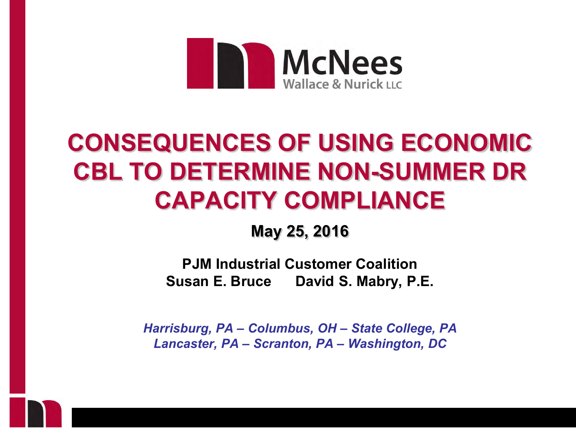

#### **CONSEQUENCES OF USING ECONOMIC CBL TO DETERMINE NON-SUMMER DR CAPACITY COMPLIANCE**

#### **May 25, 2016**

**P.IM Industrial Customer Coalition Susan E. Bruce David S. Mabry, P.E.** 

*Harrisburg, PA – Columbus, OH – State College, PA Lancaster, PA – Scranton, PA – Washington, DC*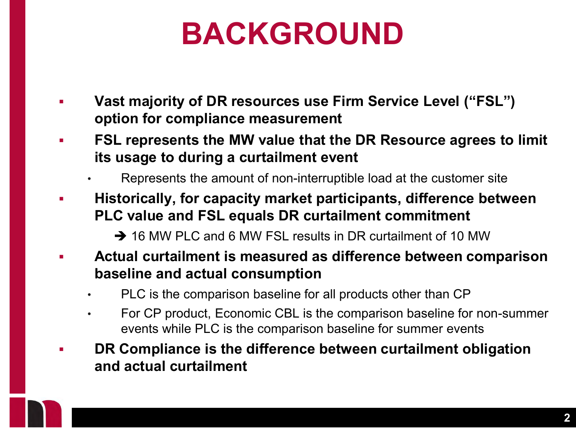# **BACKGROUND**

- **Vast majority of DR resources use Firm Service Level ("FSL") option for compliance measurement**
- **FSL represents the MW value that the DR Resource agrees to limit its usage to during a curtailment event**
	- Represents the amount of non-interruptible load at the customer site
- **Historically, for capacity market participants, difference between PLC value and FSL equals DR curtailment commitment**
	- → 16 MW PLC and 6 MW FSL results in DR curtailment of 10 MW
- **Actual curtailment is measured as difference between comparison baseline and actual consumption**
	- PLC is the comparison baseline for all products other than CP
	- For CP product, Economic CBL is the comparison baseline for non-summer events while PLC is the comparison baseline for summer events
- **DR Compliance is the difference between curtailment obligation and actual curtailment**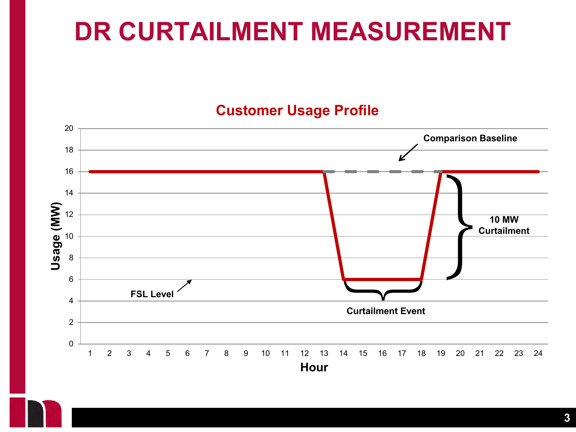### **DR CURTAILMENT MEASUREMENT**

#### **Customer Usage Profile**

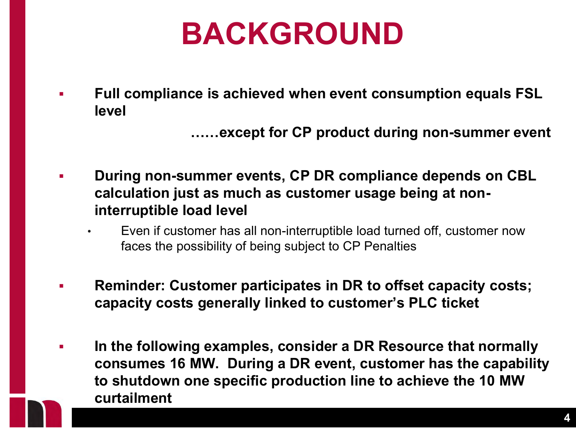# **BACKGROUND**

 **Full compliance is achieved when event consumption equals FSL level**

**……except for CP product during non-summer event**

- **During non-summer events, CP DR compliance depends on CBL calculation just as much as customer usage being at noninterruptible load level**
	- Even if customer has all non-interruptible load turned off, customer now faces the possibility of being subject to CP Penalties
- **Reminder: Customer participates in DR to offset capacity costs; capacity costs generally linked to customer's PLC ticket**
- **In the following examples, consider a DR Resource that normally consumes 16 MW. During a DR event, customer has the capability to shutdown one specific production line to achieve the 10 MW curtailment**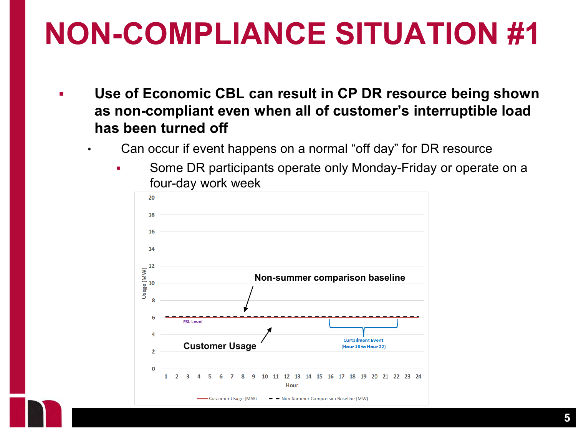- **Use of Economic CBL can result in CP DR resource being shown as non-compliant even when all of customer's interruptible load has been turned off**
	- Can occur if event happens on a normal "off day" for DR resource
		- Some DR participants operate only Monday-Friday or operate on a four-day work week

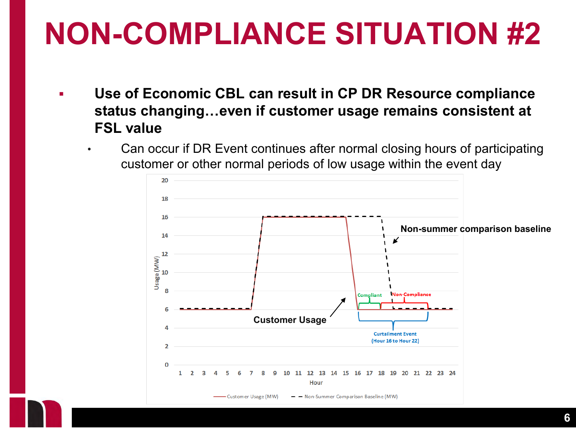- **Use of Economic CBL can result in CP DR Resource compliance status changing…even if customer usage remains consistent at FSL value**
	- Can occur if DR Event continues after normal closing hours of participating customer or other normal periods of low usage within the event day

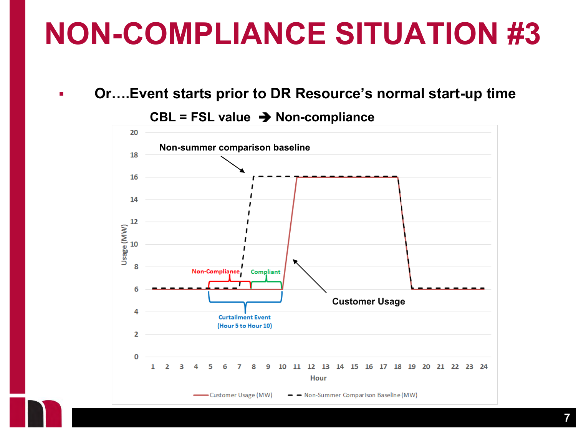**Or….Event starts prior to DR Resource's normal start-up time** 



**CBL = FSL value Non-compliance**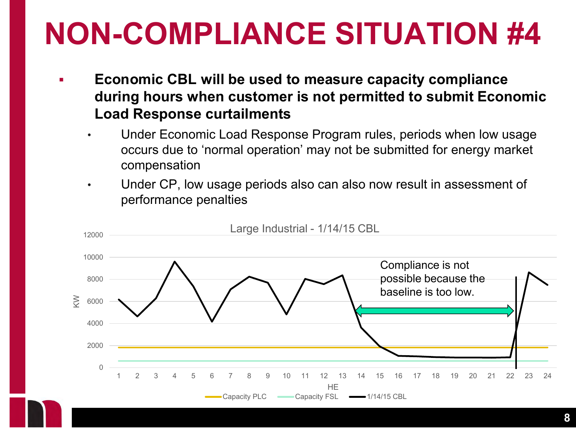- **Economic CBL will be used to measure capacity compliance during hours when customer is not permitted to submit Economic Load Response curtailments**
	- Under Economic Load Response Program rules, periods when low usage occurs due to 'normal operation' may not be submitted for energy market compensation
	- Under CP, low usage periods also can also now result in assessment of performance penalties

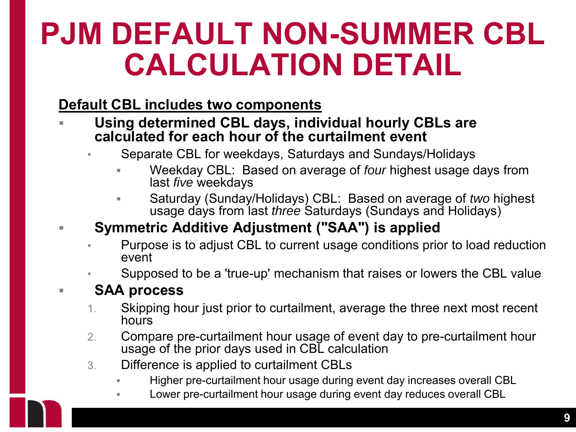### **PJM DEFAULT NON-SUMMER CBL CALCULATION DETAIL**

#### **Default CBL includes two components**

- **Using determined CBL days, individual hourly CBLs are calculated for each hour of the curtailment event**
	- Separate CBL for weekdays, Saturdays and Sundays/Holidays
		- Weekday CBL: Based on average of *four* highest usage days from last *five* weekdays
		- Saturday (Sunday/Holidays) CBL: Based on average of *two* highest usage days from last *three* Saturdays (Sundays and Holidays)
- **Symmetric Additive Adjustment ("SAA") is applied**
	- Purpose is to adjust CBL to current usage conditions prior to load reduction event
	- Supposed to be a 'true-up' mechanism that raises or lowers the CBL value

#### **SAA process**

- 1. Skipping hour just prior to curtailment, average the three next most recent hours
- 2. Compare pre-curtailment hour usage of event day to pre-curtailment hour usage of the prior days used in CBL calculation
- 3. Difference is applied to curtailment CBLs
	- Higher pre-curtailment hour usage during event day increases overall CBL
	- Lower pre-curtailment hour usage during event day reduces overall CBL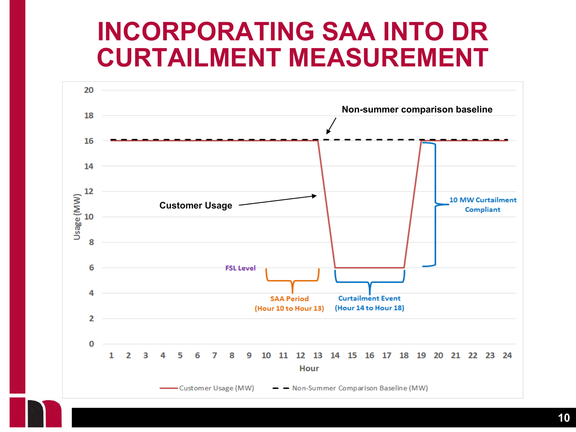#### **INCORPORATING SAA INTO DR CURTAILMENT MEASUREMENT**

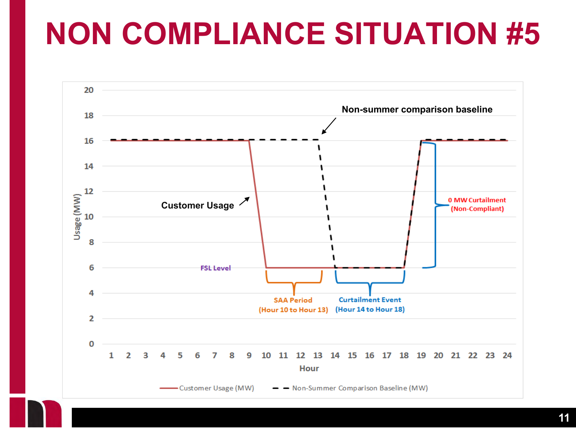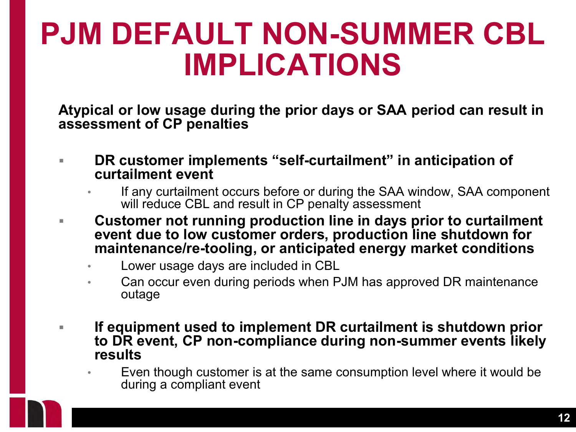### **PJM DEFAULT NON-SUMMER CBL IMPLICATIONS**

**Atypical or low usage during the prior days or SAA period can result in assessment of CP penalties**

- **DR customer implements "self-curtailment" in anticipation of curtailment event**
	- If any curtailment occurs before or during the SAA window, SAA component will reduce CBL and result in CP penalty assessment
- **Customer not running production line in days prior to curtailment event due to low customer orders, production line shutdown for maintenance/re-tooling, or anticipated energy market conditions**
	- Lower usage days are included in CBL
	- Can occur even during periods when PJM has approved DR maintenance outage
- **If equipment used to implement DR curtailment is shutdown prior to DR event, CP non-compliance during non-summer events likely results**
	- Even though customer is at the same consumption level where it would be during a compliant event